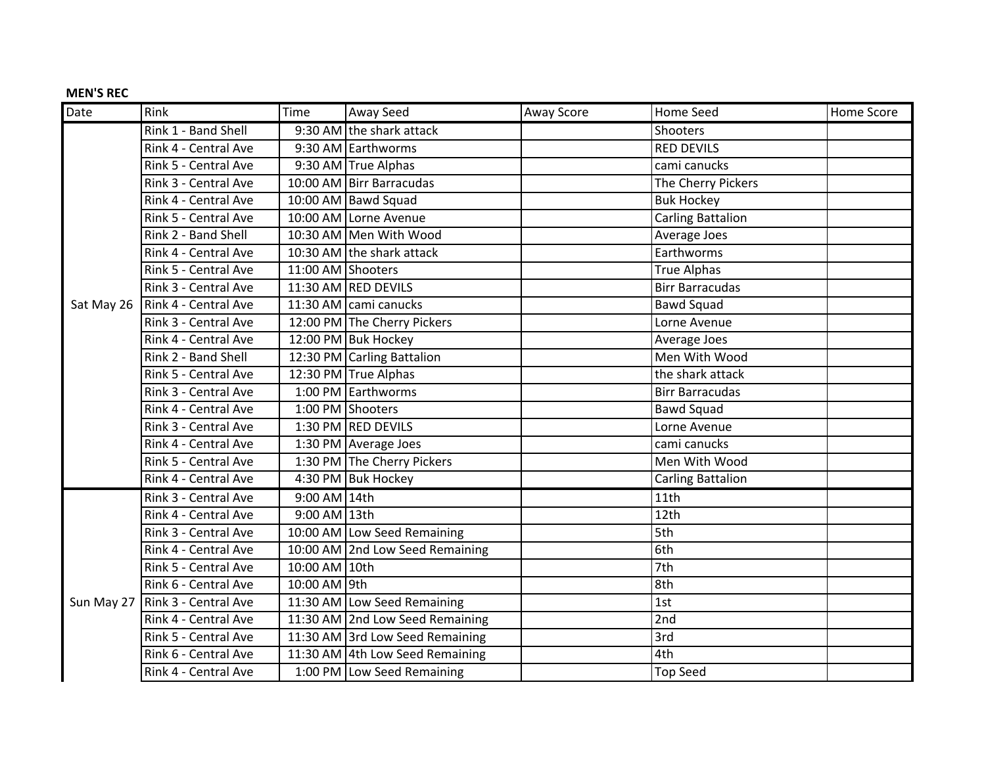## **MEN'S REC**

| Date       | Rink                 | Time              | Away Seed                       | <b>Away Score</b> | <b>Home Seed</b>         | Home Score |
|------------|----------------------|-------------------|---------------------------------|-------------------|--------------------------|------------|
|            | Rink 1 - Band Shell  |                   | 9:30 AM the shark attack        |                   | Shooters                 |            |
|            | Rink 4 - Central Ave |                   | 9:30 AM Earthworms              |                   | <b>RED DEVILS</b>        |            |
|            | Rink 5 - Central Ave |                   | 9:30 AM True Alphas             |                   | cami canucks             |            |
|            | Rink 3 - Central Ave |                   | 10:00 AM Birr Barracudas        |                   | The Cherry Pickers       |            |
|            | Rink 4 - Central Ave |                   | 10:00 AM   Bawd Squad           |                   | <b>Buk Hockey</b>        |            |
|            | Rink 5 - Central Ave |                   | 10:00 AM Lorne Avenue           |                   | <b>Carling Battalion</b> |            |
|            | Rink 2 - Band Shell  |                   | 10:30 AM Men With Wood          |                   | Average Joes             |            |
|            | Rink 4 - Central Ave |                   | 10:30 AM the shark attack       |                   | Earthworms               |            |
|            | Rink 5 - Central Ave | 11:00 AM Shooters |                                 |                   | <b>True Alphas</b>       |            |
|            | Rink 3 - Central Ave |                   | 11:30 AM RED DEVILS             |                   | <b>Birr Barracudas</b>   |            |
| Sat May 26 | Rink 4 - Central Ave |                   | 11:30 AM cami canucks           |                   | <b>Bawd Squad</b>        |            |
|            | Rink 3 - Central Ave |                   | 12:00 PM The Cherry Pickers     |                   | Lorne Avenue             |            |
|            | Rink 4 - Central Ave |                   | 12:00 PM Buk Hockey             |                   | Average Joes             |            |
|            | Rink 2 - Band Shell  |                   | 12:30 PM Carling Battalion      |                   | Men With Wood            |            |
|            | Rink 5 - Central Ave |                   | 12:30 PM True Alphas            |                   | the shark attack         |            |
|            | Rink 3 - Central Ave |                   | 1:00 PM Earthworms              |                   | <b>Birr Barracudas</b>   |            |
|            | Rink 4 - Central Ave |                   | 1:00 PM Shooters                |                   | <b>Bawd Squad</b>        |            |
|            | Rink 3 - Central Ave |                   | 1:30 PM RED DEVILS              |                   | Lorne Avenue             |            |
|            | Rink 4 - Central Ave |                   | 1:30 PM   Average Joes          |                   | cami canucks             |            |
|            | Rink 5 - Central Ave |                   | 1:30 PM The Cherry Pickers      |                   | Men With Wood            |            |
|            | Rink 4 - Central Ave |                   | 4:30 PM   Buk Hockey            |                   | <b>Carling Battalion</b> |            |
|            | Rink 3 - Central Ave | 9:00 AM 14th      |                                 |                   | 11th                     |            |
|            | Rink 4 - Central Ave | 9:00 AM 13th      |                                 |                   | 12th                     |            |
|            | Rink 3 - Central Ave |                   | 10:00 AM Low Seed Remaining     |                   | 5th                      |            |
|            | Rink 4 - Central Ave |                   | 10:00 AM 2nd Low Seed Remaining |                   | 6th                      |            |
|            | Rink 5 - Central Ave | 10:00 AM 10th     |                                 |                   | 7th                      |            |
| Sun May 27 | Rink 6 - Central Ave | 10:00 AM 9th      |                                 |                   | 8th                      |            |
|            | Rink 3 - Central Ave |                   | 11:30 AM Low Seed Remaining     |                   | 1st                      |            |
|            | Rink 4 - Central Ave |                   | 11:30 AM 2nd Low Seed Remaining |                   | 2nd                      |            |
|            | Rink 5 - Central Ave |                   | 11:30 AM 3rd Low Seed Remaining |                   | 3rd                      |            |
|            | Rink 6 - Central Ave |                   | 11:30 AM 4th Low Seed Remaining |                   | 4th                      |            |
|            | Rink 4 - Central Ave |                   | 1:00 PM Low Seed Remaining      |                   | <b>Top Seed</b>          |            |